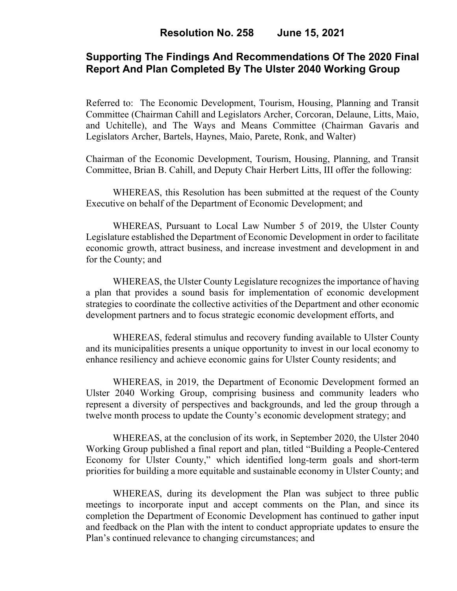## **Supporting The Findings And Recommendations Of The 2020 Final Report And Plan Completed By The Ulster 2040 Working Group**

Referred to: The Economic Development, Tourism, Housing, Planning and Transit Committee (Chairman Cahill and Legislators Archer, Corcoran, Delaune, Litts, Maio, and Uchitelle), and The Ways and Means Committee (Chairman Gavaris and Legislators Archer, Bartels, Haynes, Maio, Parete, Ronk, and Walter)

Chairman of the Economic Development, Tourism, Housing, Planning, and Transit Committee, Brian B. Cahill, and Deputy Chair Herbert Litts, III offer the following:

WHEREAS, this Resolution has been submitted at the request of the County Executive on behalf of the Department of Economic Development; and

WHEREAS, Pursuant to Local Law Number 5 of 2019, the Ulster County Legislature established the Department of Economic Development in order to facilitate economic growth, attract business, and increase investment and development in and for the County; and

WHEREAS, the Ulster County Legislature recognizes the importance of having a plan that provides a sound basis for implementation of economic development strategies to coordinate the collective activities of the Department and other economic development partners and to focus strategic economic development efforts, and

WHEREAS, federal stimulus and recovery funding available to Ulster County and its municipalities presents a unique opportunity to invest in our local economy to enhance resiliency and achieve economic gains for Ulster County residents; and

WHEREAS, in 2019, the Department of Economic Development formed an Ulster 2040 Working Group, comprising business and community leaders who represent a diversity of perspectives and backgrounds, and led the group through a twelve month process to update the County's economic development strategy; and

WHEREAS, at the conclusion of its work, in September 2020, the Ulster 2040 Working Group published a final report and plan, titled "Building a People-Centered Economy for Ulster County," which identified long-term goals and short-term priorities for building a more equitable and sustainable economy in Ulster County; and

WHEREAS, during its development the Plan was subject to three public meetings to incorporate input and accept comments on the Plan, and since its completion the Department of Economic Development has continued to gather input and feedback on the Plan with the intent to conduct appropriate updates to ensure the Plan's continued relevance to changing circumstances; and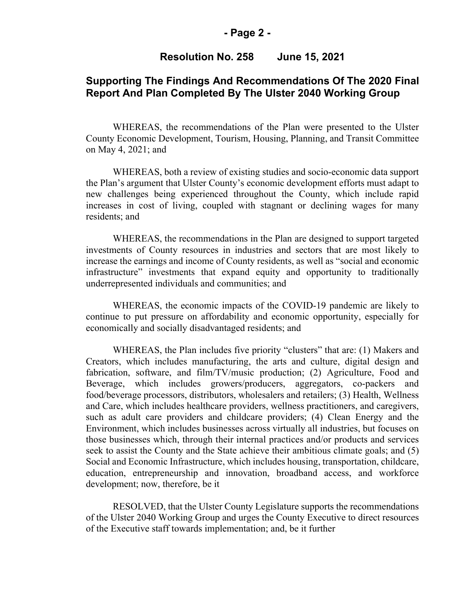#### **- Page 2 -**

### **Resolution No. 258 June 15, 2021**

### **Supporting The Findings And Recommendations Of The 2020 Final Report And Plan Completed By The Ulster 2040 Working Group**

WHEREAS, the recommendations of the Plan were presented to the Ulster County Economic Development, Tourism, Housing, Planning, and Transit Committee on May 4, 2021; and

WHEREAS, both a review of existing studies and socio-economic data support the Plan's argument that Ulster County's economic development efforts must adapt to new challenges being experienced throughout the County, which include rapid increases in cost of living, coupled with stagnant or declining wages for many residents; and

WHEREAS, the recommendations in the Plan are designed to support targeted investments of County resources in industries and sectors that are most likely to increase the earnings and income of County residents, as well as "social and economic infrastructure" investments that expand equity and opportunity to traditionally underrepresented individuals and communities; and

WHEREAS, the economic impacts of the COVID-19 pandemic are likely to continue to put pressure on affordability and economic opportunity, especially for economically and socially disadvantaged residents; and

WHEREAS, the Plan includes five priority "clusters" that are: (1) Makers and Creators, which includes manufacturing, the arts and culture, digital design and fabrication, software, and film/TV/music production; (2) Agriculture, Food and Beverage, which includes growers/producers, aggregators, co-packers and food/beverage processors, distributors, wholesalers and retailers; (3) Health, Wellness and Care, which includes healthcare providers, wellness practitioners, and caregivers, such as adult care providers and childcare providers; (4) Clean Energy and the Environment, which includes businesses across virtually all industries, but focuses on those businesses which, through their internal practices and/or products and services seek to assist the County and the State achieve their ambitious climate goals; and (5) Social and Economic Infrastructure, which includes housing, transportation, childcare, education, entrepreneurship and innovation, broadband access, and workforce development; now, therefore, be it

RESOLVED, that the Ulster County Legislature supports the recommendations of the Ulster 2040 Working Group and urges the County Executive to direct resources of the Executive staff towards implementation; and, be it further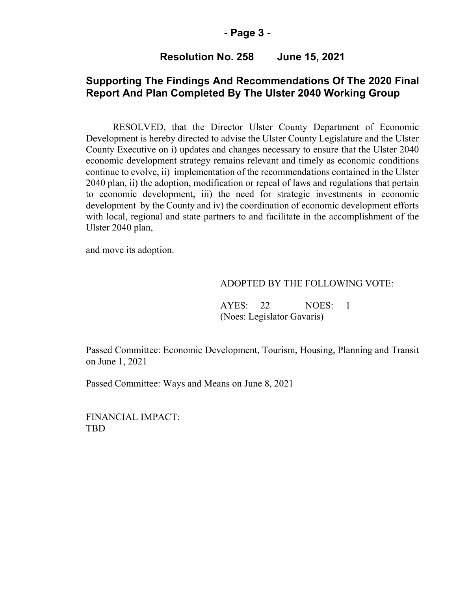#### **- Page 3 -**

### **Resolution No. 258 June 15, 2021**

## **Supporting The Findings And Recommendations Of The 2020 Final Report And Plan Completed By The Ulster 2040 Working Group**

RESOLVED, that the Director Ulster County Department of Economic Development is hereby directed to advise the Ulster County Legislature and the Ulster County Executive on i) updates and changes necessary to ensure that the Ulster 2040 economic development strategy remains relevant and timely as economic conditions continue to evolve, ii) implementation of the recommendations contained in the Ulster 2040 plan, ii) the adoption, modification or repeal of laws and regulations that pertain to economic development, iii) the need for strategic investments in economic development by the County and iv) the coordination of economic development efforts with local, regional and state partners to and facilitate in the accomplishment of the Ulster 2040 plan,

and move its adoption.

#### ADOPTED BY THE FOLLOWING VOTE:

AYES: 22 NOES: 1 (Noes: Legislator Gavaris)

Passed Committee: Economic Development, Tourism, Housing, Planning and Transit on June 1, 2021

Passed Committee: Ways and Means on June 8, 2021

FINANCIAL IMPACT: TBD